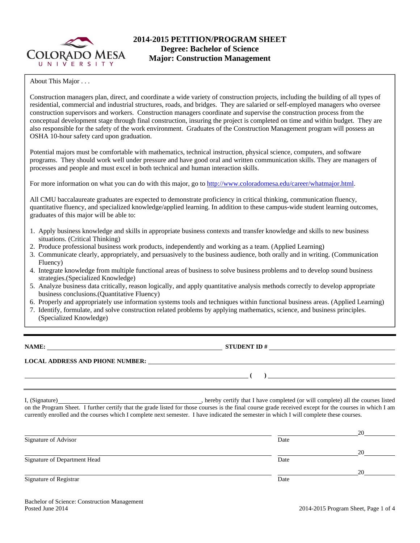

## **2014-2015 PETITION/PROGRAM SHEET Degree: Bachelor of Science Major: Construction Management**

About This Major . . .

Construction managers plan, direct, and coordinate a wide variety of construction projects, including the building of all types of residential, commercial and industrial structures, roads, and bridges. They are salaried or self-employed managers who oversee construction supervisors and workers. Construction managers coordinate and supervise the construction process from the conceptual development stage through final construction, insuring the project is completed on time and within budget. They are also responsible for the safety of the work environment. Graduates of the Construction Management program will possess an OSHA 10-hour safety card upon graduation.

Potential majors must be comfortable with mathematics, technical instruction, physical science, computers, and software programs. They should work well under pressure and have good oral and written communication skills. They are managers of processes and people and must excel in both technical and human interaction skills.

For more information on what you can do with this major, go to http://www.coloradomesa.edu/career/whatmajor.html.

quantitative fluency, and specialized knowledge/applied learning. In addition to these campus-wide student learning outcomes, exponsibility to determine when when you have met the requirements for your degree. Please see the complete list of  $\mathbb{R}$ All CMU baccalaureate graduates are expected to demonstrate proficiency in critical thinking, communication fluency,

- 1. Apply business knowledge and skills in appropriate business contexts and transfer knowledge and skills to new business situations. (Critical Thinking)
- 2. Produce professional business work products, independently and working as a team. (Applied Learning)
- **Communicate clearly, appropriately, and persuasively to the business audience, both crally and** 3. Communicate clearly, appropriately, and persuasively to the business audience, both orally and in writing. (Communication Elisance) 5. Finally, the Department Head or the department administrative assistant will take the signed forms to the Registrar's Office. (Students cannot Fluency)
- 4. Integrate knowledge from multiple functional areas of business to solve business problems and to develop sound business  $\frac{1}{100}$  strategies.(Specialized Knowledge)
- 5. Analyze business data critically, reason logically, and apply quantitative analysis methods correctly to develop appropriate business conclusions. (Quantitative Fluency). The semi-vertext example  $\alpha$  and  $\alpha$  and  $\alpha$  are  $\alpha$
- 6. Properly and appropriately use information systems tools and techniques within functional business areas. (Applied Learning)
- 7. Identify, formulate, and solve construction related problems by applying mathematics, science, and business principles. (Specialized Knowledge)

**NAME: STUDENT ID # STUDENT ID # STUDENT ID # STUDENT ID # STUDENT ID # STUDENT ID # STUDENT ID # STUDENT ID # STUDENT ID # STUDENT 1D + STUDENT 1D + STUDENT 1D + STUDENT 1D + STUDENT 1D + STU** 

 **( )** 

**LOCAL ADDRESS AND PHONE NUMBER:**

I, (Signature) hereby certify that I have completed (or will complete) all the courses listed on the Program Sheet. I further certify that the grade listed for those courses is the final course grade received except for the courses in which I am currently enrolled and the courses which I complete next semester. I have indicated the semester in which I will complete these courses.

|                              |      | 20 |
|------------------------------|------|----|
| Signature of Advisor         | Date |    |
|                              |      | 20 |
| Signature of Department Head | Date |    |
|                              |      | 20 |
| Signature of Registrar       | Date |    |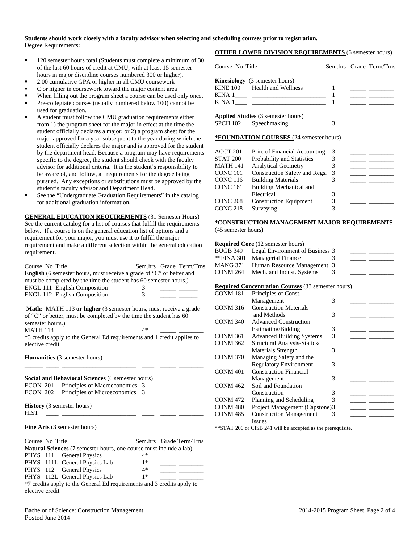#### **Students should work closely with a faculty advisor when selecting and scheduling courses prior to registration.** Degree Requirements:

- 120 semester hours total (Students must complete a minimum of 30 of the last 60 hours of credit at CMU, with at least 15 semester hours in major discipline courses numbered 300 or higher).
- 2.00 cumulative GPA or higher in all CMU coursework
- C or higher in coursework toward the major content area
- When filling out the program sheet a course can be used only once.
- Pre-collegiate courses (usually numbered below 100) cannot be used for graduation.
- A student must follow the CMU graduation requirements either from 1) the program sheet for the major in effect at the time the student officially declares a major; or 2) a program sheet for the major approved for a year subsequent to the year during which the student officially declares the major and is approved for the student by the department head. Because a program may have requirements specific to the degree, the student should check with the faculty advisor for additional criteria. It is the student's responsibility to be aware of, and follow, all requirements for the degree being pursued. Any exceptions or substitutions must be approved by the student's faculty advisor and Department Head.
- See the "Undergraduate Graduation Requirements" in the catalog for additional graduation information.

**GENERAL EDUCATION REQUIREMENTS** (31 Semester Hours) See the current catalog for a list of courses that fulfill the requirements below. If a course is on the general education list of options and a requirement for your major, you must use it to fulfill the major requirement and make a different selection within the general education requirement.

| Course No Title                                                           |      |  | Sem.hrs Grade Term/Trns |  |  |  |  |  |
|---------------------------------------------------------------------------|------|--|-------------------------|--|--|--|--|--|
| English (6 semester hours, must receive a grade of "C" or better and      |      |  |                         |  |  |  |  |  |
| must be completed by the time the student has 60 semester hours.)         |      |  |                         |  |  |  |  |  |
| <b>ENGL 111 English Composition</b>                                       | 3    |  |                         |  |  |  |  |  |
| ENGL 112 English Composition                                              | 3    |  |                         |  |  |  |  |  |
|                                                                           |      |  |                         |  |  |  |  |  |
| <b>Math:</b> MATH 113 or higher (3 semester hours, must receive a grade   |      |  |                         |  |  |  |  |  |
| of "C" or better, must be completed by the time the student has 60        |      |  |                         |  |  |  |  |  |
| semester hours.)                                                          |      |  |                         |  |  |  |  |  |
| <b>MATH 113</b>                                                           | $4*$ |  |                         |  |  |  |  |  |
| *3 credits apply to the General Ed requirements and 1 credit applies to   |      |  |                         |  |  |  |  |  |
| elective credit                                                           |      |  |                         |  |  |  |  |  |
|                                                                           |      |  |                         |  |  |  |  |  |
| <b>Humanities</b> (3 semester hours)                                      |      |  |                         |  |  |  |  |  |
|                                                                           |      |  |                         |  |  |  |  |  |
| Social and Behavioral Sciences (6 semester hours)                         |      |  |                         |  |  |  |  |  |
| Principles of Macroeconomics 3<br>ECON 201                                |      |  |                         |  |  |  |  |  |
| Principles of Microeconomics 3<br>ECON 202                                |      |  |                         |  |  |  |  |  |
|                                                                           |      |  |                         |  |  |  |  |  |
| History (3 semester hours)                                                |      |  |                         |  |  |  |  |  |
| <b>HIST</b>                                                               |      |  |                         |  |  |  |  |  |
|                                                                           |      |  |                         |  |  |  |  |  |
| Fine Arts (3 semester hours)                                              |      |  |                         |  |  |  |  |  |
|                                                                           |      |  |                         |  |  |  |  |  |
| Course No Title                                                           |      |  | Sem.hrs Grade Term/Trns |  |  |  |  |  |
| <b>Natural Sciences</b> (7 semester hours, one course must include a lab) |      |  |                         |  |  |  |  |  |
| PHYS 111 General Physics                                                  | $4*$ |  |                         |  |  |  |  |  |
| PHYS 111L General Physics Lab                                             | $1*$ |  |                         |  |  |  |  |  |
| PHYS 112 General Physics                                                  | 4*   |  |                         |  |  |  |  |  |
| PHYS 112L General Physics Lab                                             | $1*$ |  |                         |  |  |  |  |  |

\*7 credits apply to the General Ed requirements and 3 credits apply to elective credit

### Bachelor of Science: Construction Management 2014-2015 Program Sheet, Page 2 of 4 Posted June 2014

## **OTHER LOWER DIVISION REQUIREMENTS** (6 semester hours)

| Course No Title     |                                                           |              |                          | Sem.hrs Grade Term/Trns                                                                                                                                                                                                              |
|---------------------|-----------------------------------------------------------|--------------|--------------------------|--------------------------------------------------------------------------------------------------------------------------------------------------------------------------------------------------------------------------------------|
|                     | Kinesiology (3 semester hours)                            |              |                          |                                                                                                                                                                                                                                      |
|                     | KINE 100 Health and Wellness                              | 1            |                          | <u> The Common State State State State State State State State State State State State State State State State State State State State State State State State State State State State State State State State State State State</u> |
|                     |                                                           | $\mathbf{1}$ |                          | $\overline{\phantom{a}}$ and $\overline{\phantom{a}}$                                                                                                                                                                                |
|                     |                                                           | 1            |                          |                                                                                                                                                                                                                                      |
|                     | <b>Applied Studies</b> (3 semester hours)                 |              |                          |                                                                                                                                                                                                                                      |
| <b>SPCH 102</b>     | Speechmaking                                              | 3            |                          |                                                                                                                                                                                                                                      |
|                     | *FOUNDATION COURSES (24 semester hours)                   |              |                          |                                                                                                                                                                                                                                      |
| ACCT 201            | Prin. of Financial Accounting                             | 3            |                          |                                                                                                                                                                                                                                      |
| STAT 200            | Probability and Statistics                                | 3            |                          |                                                                                                                                                                                                                                      |
| MATH 141            | <b>Analytical Geometry</b>                                | 3            |                          |                                                                                                                                                                                                                                      |
| CONC 101            | Construction Safety and Regs.                             | 3            |                          |                                                                                                                                                                                                                                      |
| CONC 116            | <b>Building Materials</b>                                 | 3            |                          |                                                                                                                                                                                                                                      |
| <b>CONC 161</b>     | Building Mechanical and                                   |              |                          |                                                                                                                                                                                                                                      |
|                     | Electrical                                                | 3            |                          |                                                                                                                                                                                                                                      |
| CONC 208            | <b>Construction Equipment</b>                             | 3            |                          |                                                                                                                                                                                                                                      |
| CONC 218            | Surveying                                                 | 3            |                          |                                                                                                                                                                                                                                      |
|                     |                                                           |              |                          |                                                                                                                                                                                                                                      |
|                     | *CONSTRUCTION MANAGEMENT MAJOR REQUIREMENTS               |              |                          |                                                                                                                                                                                                                                      |
| (45 semester hours) |                                                           |              |                          |                                                                                                                                                                                                                                      |
|                     | <b>Required Core</b> (12 semester hours)                  |              |                          |                                                                                                                                                                                                                                      |
| BUGB 349            | Legal Environment of Business 3                           |              |                          |                                                                                                                                                                                                                                      |
| **FINA 301          | Managerial Finance                                        | 3            |                          |                                                                                                                                                                                                                                      |
| <b>MANG 371</b>     | Human Resource Management 3                               |              |                          |                                                                                                                                                                                                                                      |
| <b>CONM 264</b>     | Mech. and Indust. Systems                                 | 3            |                          |                                                                                                                                                                                                                                      |
|                     | <b>Required Concentration Courses</b> (33 semester hours) |              |                          |                                                                                                                                                                                                                                      |
| CONM 181            | Principles of Const.                                      |              |                          |                                                                                                                                                                                                                                      |
|                     | Management                                                | 3            |                          |                                                                                                                                                                                                                                      |
| CONM 316            | <b>Construction Materials</b>                             |              |                          |                                                                                                                                                                                                                                      |
|                     | and Methods                                               | 3            |                          |                                                                                                                                                                                                                                      |
| CONM 340            | <b>Advanced Construction</b>                              |              |                          |                                                                                                                                                                                                                                      |
|                     | Estimating/Bidding                                        | 3            |                          |                                                                                                                                                                                                                                      |
| CONM 361            | <b>Advanced Building Systems</b>                          | 3            |                          |                                                                                                                                                                                                                                      |
| CONM 362            | Structural Analysis-Statics/                              |              |                          |                                                                                                                                                                                                                                      |
|                     | <b>Materials Strength</b>                                 | 3            |                          |                                                                                                                                                                                                                                      |
| CONM 370            | Managing Safety and the                                   |              |                          |                                                                                                                                                                                                                                      |
|                     | <b>Regulatory Environment</b>                             | 3            |                          | $\overline{\phantom{a}}$ $\overline{\phantom{a}}$                                                                                                                                                                                    |
| CONM 401            | <b>Construction Financial</b>                             |              |                          |                                                                                                                                                                                                                                      |
|                     | Management                                                | 3            |                          | $\overline{\phantom{a}}$ $\overline{\phantom{a}}$                                                                                                                                                                                    |
| <b>CONM 462</b>     | Soil and Foundation                                       |              |                          |                                                                                                                                                                                                                                      |
|                     | Construction                                              | 3            |                          |                                                                                                                                                                                                                                      |
| CONM 472            | Planning and Scheduling                                   | 3            |                          | $\overline{\phantom{a}}$                                                                                                                                                                                                             |
| CONM 480            | Project Management (Capstone)3                            |              |                          |                                                                                                                                                                                                                                      |
| CONM <sub>485</sub> | <b>Construction Management</b>                            | 3            | $\overline{\phantom{a}}$ |                                                                                                                                                                                                                                      |
|                     |                                                           |              |                          |                                                                                                                                                                                                                                      |

\*\*STAT 200 or CISB 241 will be accepted as the prerequisite.

Issues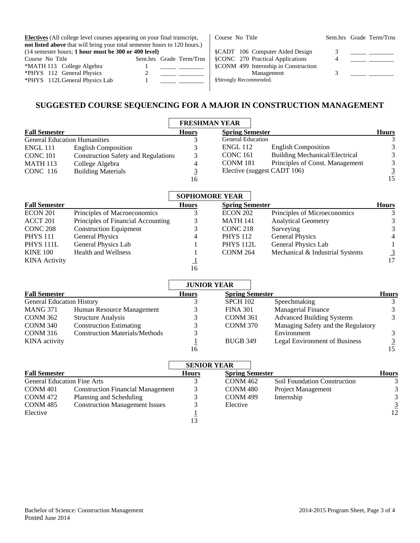| <b>Electives</b> (All college level courses appearing on your final transcript, |  |  | Course No Title         |                        |                                      | Sem.hrs Grade Term/Trns |  |
|---------------------------------------------------------------------------------|--|--|-------------------------|------------------------|--------------------------------------|-------------------------|--|
| not listed above that will bring your total semester hours to 120 hours.)       |  |  |                         |                        |                                      |                         |  |
| $(14$ semester hours; 1 hour must be 300 or 400 level)                          |  |  |                         |                        | §CADT 106 Computer Aided Design      |                         |  |
| Course No Title                                                                 |  |  | Sem.hrs Grade Term/Trns |                        | §CONC 270 Practical Applications     |                         |  |
| *MATH 113 College Algebra                                                       |  |  |                         |                        | §CONM 499 Internship in Construction |                         |  |
| *PHYS 112 General Physics                                                       |  |  |                         |                        | Management                           |                         |  |
| *PHYS 112L General Physics Lab                                                  |  |  |                         | §Strongly Recommended. |                                      |                         |  |
|                                                                                 |  |  |                         |                        |                                      |                         |  |

# **SUGGESTED COURSE SEQUENCING FOR A MAJOR IN CONSTRUCTION MANAGEMENT**

|                                     |                                            | <b>FRESHMAN YEAR</b> |                                                          |              |  |  |
|-------------------------------------|--------------------------------------------|----------------------|----------------------------------------------------------|--------------|--|--|
| <b>Fall Semester</b>                |                                            | <b>Hours</b>         | <b>Spring Semester</b>                                   | <b>Hours</b> |  |  |
| <b>General Education Humanities</b> |                                            |                      | <b>General Education</b>                                 | 3            |  |  |
| <b>ENGL 111</b>                     | <b>English Composition</b>                 |                      | <b>ENGL 112</b><br><b>English Composition</b>            |              |  |  |
| <b>CONC 101</b>                     | <b>Construction Safety and Regulations</b> | 3                    | <b>Building Mechanical/Electrical</b><br><b>CONC 161</b> | 3            |  |  |
| <b>MATH 113</b>                     | College Algebra                            | 4                    | <b>CONM 181</b><br>Principles of Const. Management       | 3            |  |  |
| <b>CONC</b> 116                     | <b>Building Materials</b>                  | <u>3</u>             | Elective (suggest CADT 106)                              | <u>3</u>     |  |  |
|                                     |                                            | 16                   |                                                          | 15           |  |  |
| <b>SOPHOMORE YEAR</b>               |                                            |                      |                                                          |              |  |  |
| <b>Fall Semester</b>                |                                            | <b>Hours</b>         | <b>Spring Semester</b>                                   | <b>Hours</b> |  |  |
| ECON 201                            | Principles of Macroeconomics               |                      | Principles of Microeconomics<br><b>ECON 202</b>          | 3            |  |  |
| ACCT 201                            | Principles of Financial Accounting         | 3                    | <b>MATH 141</b><br><b>Analytical Geometry</b>            | 3            |  |  |
| <b>CONC 208</b>                     | <b>Construction Equipment</b>              |                      | CONC <sub>218</sub><br>Surveying                         | 3            |  |  |
| <b>PHYS 111</b>                     | <b>General Physics</b>                     | 4                    | <b>General Physics</b><br><b>PHYS 112</b>                | 4            |  |  |

|                                  |                                       | <b>JUNIOR YEAR</b> |                        |                                      |              |
|----------------------------------|---------------------------------------|--------------------|------------------------|--------------------------------------|--------------|
| <b>Fall Semester</b>             |                                       | <b>Hours</b>       | <b>Spring Semester</b> |                                      | <b>Hours</b> |
| <b>General Education History</b> |                                       |                    | <b>SPCH 102</b>        | Speechmaking                         |              |
| <b>MANG 371</b>                  | Human Resource Management             |                    | <b>FINA 301</b>        | <b>Managerial Finance</b>            |              |
| <b>CONM 362</b>                  | <b>Structure Analysis</b>             |                    | <b>CONM 361</b>        | <b>Advanced Building Systems</b>     |              |
| <b>CONM 340</b>                  | <b>Construction Estimating</b>        | 3                  | <b>CONM 370</b>        | Managing Safety and the Regulatory   |              |
| <b>CONM 316</b>                  | <b>Construction Materials/Methods</b> |                    |                        | Environment                          |              |
| <b>KINA</b> activity             |                                       |                    | <b>BUGB 349</b>        | <b>Legal Environment of Business</b> |              |
|                                  |                                       | 16                 |                        |                                      |              |

|                                    |                                          | <b>SENIOR YEAR</b> |                        |                                     |              |
|------------------------------------|------------------------------------------|--------------------|------------------------|-------------------------------------|--------------|
| <b>Fall Semester</b>               |                                          | <b>Hours</b>       | <b>Spring Semester</b> |                                     | <b>Hours</b> |
| <b>General Education Fine Arts</b> |                                          |                    | <b>CONM 462</b>        | <b>Soil Foundation Construction</b> |              |
| CONM <sub>401</sub>                | <b>Construction Financial Management</b> | 3                  | CONM <sub>480</sub>    | Project Management                  |              |
| <b>CONM 472</b>                    | Planning and Scheduling                  |                    | <b>CONM 499</b>        | Internship                          | 3            |
| CONM <sub>485</sub>                | <b>Construction Management Issues</b>    |                    | Elective               |                                     | 3            |
| Elective                           |                                          |                    |                        |                                     | 12           |
|                                    |                                          | 3                  |                        |                                     |              |

PHYS 111L General Physics Lab 1 KINE 100 Health and Wellness 1 KINA Activity  $\frac{1}{16}$ 16 PHYS 112L General Physics Lab<br>
CONM 264 Mechanical & Industrial Systems  $\frac{3}{17}$ 

17

CONM 264 Mechanical  $&$  Industrial Systems